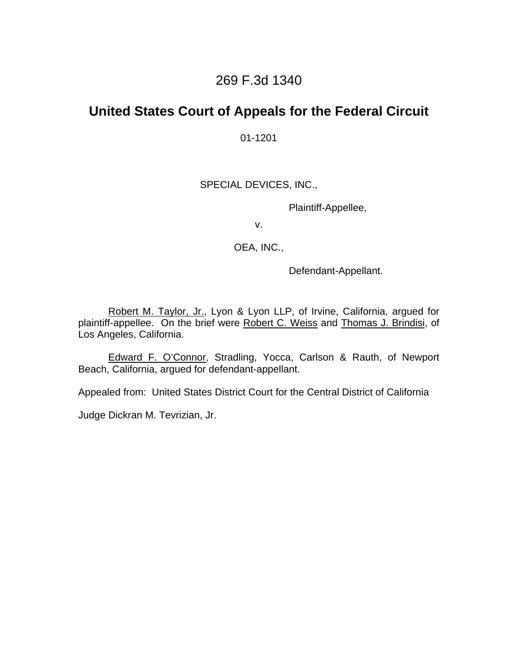### 269 F.3d 1340

# **United States Court of Appeals for the Federal Circuit**

01-1201

### SPECIAL DEVICES, INC.,

Plaintiff-Appellee,

v.

OEA, INC.,

Defendant-Appellant.

 Robert M. Taylor, Jr., Lyon & Lyon LLP, of Irvine, California, argued for plaintiff-appellee. On the brief were Robert C. Weiss and Thomas J. Brindisi, of Los Angeles, California.

 Edward F. O'Connor, Stradling, Yocca, Carlson & Rauth, of Newport Beach, California, argued for defendant-appellant.

Appealed from: United States District Court for the Central District of California

Judge Dickran M. Tevrizian, Jr.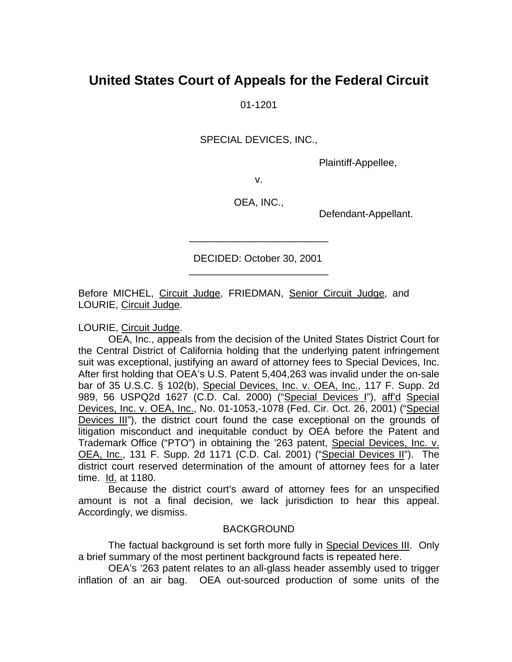# **United States Court of Appeals for the Federal Circuit**

01-1201

SPECIAL DEVICES, INC.,

Plaintiff-Appellee,

v.

OEA, INC.,

Defendant-Appellant.

 DECIDED: October 30, 2001 \_\_\_\_\_\_\_\_\_\_\_\_\_\_\_\_\_\_\_\_\_\_\_\_\_

\_\_\_\_\_\_\_\_\_\_\_\_\_\_\_\_\_\_\_\_\_\_\_\_\_

Before MICHEL, Circuit Judge, FRIEDMAN, Senior Circuit Judge, and LOURIE, Circuit Judge.

LOURIE, Circuit Judge.

 OEA, Inc., appeals from the decision of the United States District Court for the Central District of California holding that the underlying patent infringement suit was exceptional, justifying an award of attorney fees to Special Devices, Inc. After first holding that OEA's U.S. Patent 5,404,263 was invalid under the on-sale bar of 35 U.S.C. § 102(b), Special Devices, Inc. v. OEA, Inc., 117 F. Supp. 2d 989, 56 USPQ2d 1627 (C.D. Cal. 2000) ("Special Devices I"), aff'd Special Devices, Inc. v. OEA, Inc., No. 01-1053,-1078 (Fed. Cir. Oct. 26, 2001) ("Special Devices III"), the district court found the case exceptional on the grounds of litigation misconduct and inequitable conduct by OEA before the Patent and Trademark Office ("PTO") in obtaining the '263 patent, Special Devices, Inc. v. OEA, Inc., 131 F. Supp. 2d 1171 (C.D. Cal. 2001) ("Special Devices II"). The district court reserved determination of the amount of attorney fees for a later time. Id. at 1180.

Because the district court's award of attorney fees for an unspecified amount is not a final decision, we lack jurisdiction to hear this appeal. Accordingly, we dismiss.

#### BACKGROUND

 The factual background is set forth more fully in Special Devices III. Only a brief summary of the most pertinent background facts is repeated here.

 OEA's '263 patent relates to an all-glass header assembly used to trigger inflation of an air bag. OEA out-sourced production of some units of the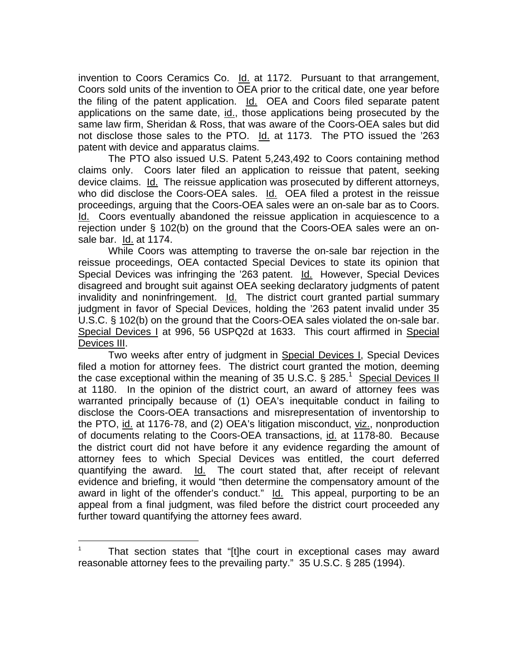invention to Coors Ceramics Co. Id. at 1172. Pursuant to that arrangement, Coors sold units of the invention to OEA prior to the critical date, one year before the filing of the patent application. Id. OEA and Coors filed separate patent applications on the same date, id., those applications being prosecuted by the same law firm, Sheridan & Ross, that was aware of the Coors-OEA sales but did not disclose those sales to the PTO. Id. at 1173. The PTO issued the '263 patent with device and apparatus claims.

The PTO also issued U.S. Patent 5,243,492 to Coors containing method claims only. Coors later filed an application to reissue that patent, seeking device claims. Id. The reissue application was prosecuted by different attorneys, who did disclose the Coors-OEA sales. Id. OEA filed a protest in the reissue proceedings, arguing that the Coors-OEA sales were an on-sale bar as to Coors. Id. Coors eventually abandoned the reissue application in acquiescence to a rejection under § 102(b) on the ground that the Coors-OEA sales were an onsale bar. Id. at 1174.

 While Coors was attempting to traverse the on-sale bar rejection in the reissue proceedings, OEA contacted Special Devices to state its opinion that Special Devices was infringing the '263 patent. Id. However, Special Devices disagreed and brought suit against OEA seeking declaratory judgments of patent invalidity and noninfringement. Id. The district court granted partial summary judgment in favor of Special Devices, holding the '263 patent invalid under 35 U.S.C. § 102(b) on the ground that the Coors-OEA sales violated the on-sale bar. Special Devices I at 996, 56 USPQ2d at 1633. This court affirmed in Special Devices III.

Two weeks after entry of judgment in Special Devices I, Special Devices filed a motion for attorney fees. The district court granted the motion, deeming the case exceptional within the meaning of 35 U.S.C. § 285.<sup>1</sup> Special Devices II at 1180. In the opinion of the district court, an award of attorney fees was warranted principally because of (1) OEA's inequitable conduct in failing to disclose the Coors-OEA transactions and misrepresentation of inventorship to the PTO, id. at 1176-78, and (2) OEA's litigation misconduct, viz., nonproduction of documents relating to the Coors-OEA transactions, id. at 1178-80. Because the district court did not have before it any evidence regarding the amount of attorney fees to which Special Devices was entitled, the court deferred quantifying the award. Id. The court stated that, after receipt of relevant evidence and briefing, it would "then determine the compensatory amount of the award in light of the offender's conduct." Id. This appeal, purporting to be an appeal from a final judgment, was filed before the district court proceeded any further toward quantifying the attorney fees award.

l

<sup>1</sup> That section states that "[t]he court in exceptional cases may award reasonable attorney fees to the prevailing party." 35 U.S.C. § 285 (1994).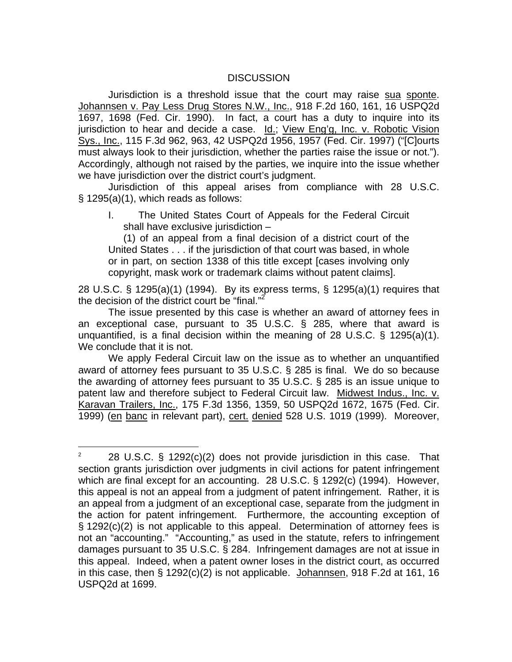#### **DISCUSSION**

Jurisdiction is a threshold issue that the court may raise sua sponte. Johannsen v. Pay Less Drug Stores N.W., Inc., 918 F.2d 160, 161, 16 USPQ2d 1697, 1698 (Fed. Cir. 1990). In fact, a court has a duty to inquire into its jurisdiction to hear and decide a case. Id.; View Eng'g, Inc. v. Robotic Vision Sys., Inc., 115 F.3d 962, 963, 42 USPQ2d 1956, 1957 (Fed. Cir. 1997) ("[C]ourts must always look to their jurisdiction, whether the parties raise the issue or not."). Accordingly, although not raised by the parties, we inquire into the issue whether we have jurisdiction over the district court's judgment.

Jurisdiction of this appeal arises from compliance with 28 U.S.C. § 1295(a)(1), which reads as follows:

I. The United States Court of Appeals for the Federal Circuit shall have exclusive jurisdiction –

(1) of an appeal from a final decision of a district court of the United States . . . if the jurisdiction of that court was based, in whole or in part, on section 1338 of this title except [cases involving only copyright, mask work or trademark claims without patent claims].

28 U.S.C. § 1295(a)(1) (1994). By its express terms, § 1295(a)(1) requires that the decision of the district court be "final."<sup>2</sup>

 The issue presented by this case is whether an award of attorney fees in an exceptional case, pursuant to 35 U.S.C. § 285, where that award is unquantified, is a final decision within the meaning of 28 U.S.C. § 1295(a)(1). We conclude that it is not.

We apply Federal Circuit law on the issue as to whether an unquantified award of attorney fees pursuant to 35 U.S.C. § 285 is final. We do so because the awarding of attorney fees pursuant to 35 U.S.C. § 285 is an issue unique to patent law and therefore subject to Federal Circuit law. Midwest Indus., Inc. v. Karavan Trailers, Inc., 175 F.3d 1356, 1359, 50 USPQ2d 1672, 1675 (Fed. Cir. 1999) (en banc in relevant part), cert. denied 528 U.S. 1019 (1999). Moreover,

 $\overline{a}$ 

<sup>2</sup> 28 U.S.C. § 1292(c)(2) does not provide jurisdiction in this case. That section grants jurisdiction over judgments in civil actions for patent infringement which are final except for an accounting. 28 U.S.C. § 1292(c) (1994). However, this appeal is not an appeal from a judgment of patent infringement. Rather, it is an appeal from a judgment of an exceptional case, separate from the judgment in the action for patent infringement. Furthermore, the accounting exception of § 1292(c)(2) is not applicable to this appeal. Determination of attorney fees is not an "accounting." "Accounting," as used in the statute, refers to infringement damages pursuant to 35 U.S.C. § 284. Infringement damages are not at issue in this appeal. Indeed, when a patent owner loses in the district court, as occurred in this case, then § 1292(c)(2) is not applicable. Johannsen, 918 F.2d at 161, 16 USPQ2d at 1699.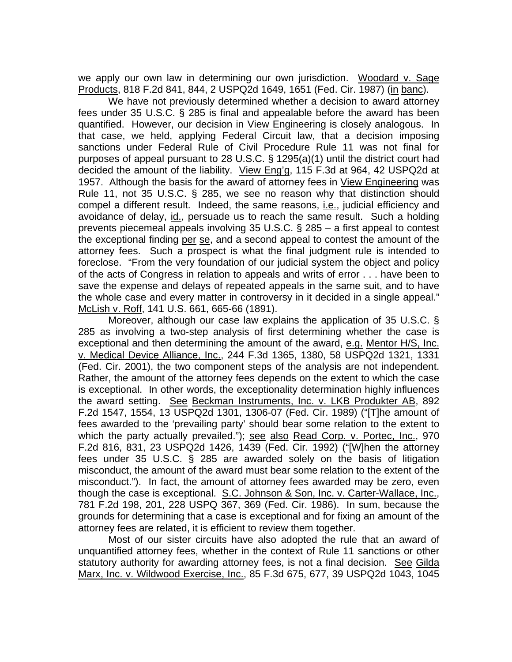we apply our own law in determining our own jurisdiction. Woodard v. Sage Products, 818 F.2d 841, 844, 2 USPQ2d 1649, 1651 (Fed. Cir. 1987) (in banc).

We have not previously determined whether a decision to award attorney fees under 35 U.S.C. § 285 is final and appealable before the award has been quantified. However, our decision in View Engineering is closely analogous. In that case, we held, applying Federal Circuit law, that a decision imposing sanctions under Federal Rule of Civil Procedure Rule 11 was not final for purposes of appeal pursuant to 28 U.S.C. § 1295(a)(1) until the district court had decided the amount of the liability. View Eng'g, 115 F.3d at 964, 42 USPQ2d at 1957. Although the basis for the award of attorney fees in View Engineering was Rule 11, not 35 U.S.C. § 285, we see no reason why that distinction should compel a different result. Indeed, the same reasons, *i.e.*, judicial efficiency and avoidance of delay, id., persuade us to reach the same result. Such a holding prevents piecemeal appeals involving 35 U.S.C. § 285 – a first appeal to contest the exceptional finding per se, and a second appeal to contest the amount of the attorney fees. Such a prospect is what the final judgment rule is intended to foreclose. "From the very foundation of our judicial system the object and policy of the acts of Congress in relation to appeals and writs of error . . . have been to save the expense and delays of repeated appeals in the same suit, and to have the whole case and every matter in controversy in it decided in a single appeal." McLish v. Roff, 141 U.S. 661, 665-66 (1891).

Moreover, although our case law explains the application of 35 U.S.C. § 285 as involving a two-step analysis of first determining whether the case is exceptional and then determining the amount of the award, e.g. Mentor H/S, Inc. v. Medical Device Alliance, Inc., 244 F.3d 1365, 1380, 58 USPQ2d 1321, 1331 (Fed. Cir. 2001), the two component steps of the analysis are not independent. Rather, the amount of the attorney fees depends on the extent to which the case is exceptional. In other words, the exceptionality determination highly influences the award setting. See Beckman Instruments, Inc. v. LKB Produkter AB, 892 F.2d 1547, 1554, 13 USPQ2d 1301, 1306-07 (Fed. Cir. 1989) ("[T]he amount of fees awarded to the 'prevailing party' should bear some relation to the extent to which the party actually prevailed."); see also Read Corp. v. Portec, Inc., 970 F.2d 816, 831, 23 USPQ2d 1426, 1439 (Fed. Cir. 1992) ("[W]hen the attorney fees under 35 U.S.C. § 285 are awarded solely on the basis of litigation misconduct, the amount of the award must bear some relation to the extent of the misconduct."). In fact, the amount of attorney fees awarded may be zero, even though the case is exceptional. S.C. Johnson & Son, Inc. v. Carter-Wallace, Inc., 781 F.2d 198, 201, 228 USPQ 367, 369 (Fed. Cir. 1986). In sum, because the grounds for determining that a case is exceptional and for fixing an amount of the attorney fees are related, it is efficient to review them together.

Most of our sister circuits have also adopted the rule that an award of unquantified attorney fees, whether in the context of Rule 11 sanctions or other statutory authority for awarding attorney fees, is not a final decision. See Gilda Marx, Inc. v. Wildwood Exercise, Inc., 85 F.3d 675, 677, 39 USPQ2d 1043, 1045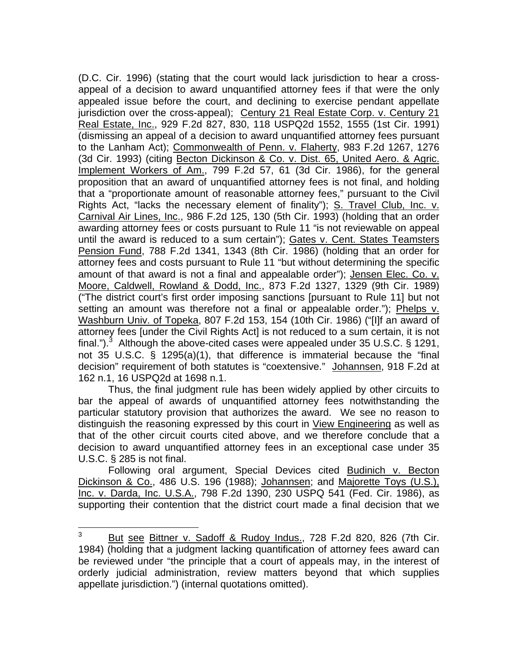(D.C. Cir. 1996) (stating that the court would lack jurisdiction to hear a crossappeal of a decision to award unquantified attorney fees if that were the only appealed issue before the court, and declining to exercise pendant appellate jurisdiction over the cross-appeal); Century 21 Real Estate Corp. v. Century 21 Real Estate, Inc., 929 F.2d 827, 830, 118 USPQ2d 1552, 1555 (1st Cir. 1991) (dismissing an appeal of a decision to award unquantified attorney fees pursuant to the Lanham Act); Commonwealth of Penn. v. Flaherty, 983 F.2d 1267, 1276 (3d Cir. 1993) (citing Becton Dickinson & Co. v. Dist. 65, United Aero. & Agric. Implement Workers of Am., 799 F.2d 57, 61 (3d Cir. 1986), for the general proposition that an award of unquantified attorney fees is not final, and holding that a "proportionate amount of reasonable attorney fees," pursuant to the Civil Rights Act, "lacks the necessary element of finality"); S. Travel Club, Inc. v. Carnival Air Lines, Inc., 986 F.2d 125, 130 (5th Cir. 1993) (holding that an order awarding attorney fees or costs pursuant to Rule 11 "is not reviewable on appeal until the award is reduced to a sum certain"); Gates v. Cent. States Teamsters Pension Fund, 788 F.2d 1341, 1343 (8th Cir. 1986) (holding that an order for attorney fees and costs pursuant to Rule 11 "but without determining the specific amount of that award is not a final and appealable order"); Jensen Elec. Co. v. Moore, Caldwell, Rowland & Dodd, Inc., 873 F.2d 1327, 1329 (9th Cir. 1989) ("The district court's first order imposing sanctions [pursuant to Rule 11] but not setting an amount was therefore not a final or appealable order."); Phelps v. Washburn Univ. of Topeka, 807 F.2d 153, 154 (10th Cir. 1986) ("[I]f an award of attorney fees [under the Civil Rights Act] is not reduced to a sum certain, it is not final.").<sup>3</sup> Although the above-cited cases were appealed under 35 U.S.C. § 1291, not 35 U.S.C. § 1295(a)(1), that difference is immaterial because the "final decision" requirement of both statutes is "coextensive." Johannsen, 918 F.2d at 162 n.1, 16 USPQ2d at 1698 n.1.

Thus, the final judgment rule has been widely applied by other circuits to bar the appeal of awards of unquantified attorney fees notwithstanding the particular statutory provision that authorizes the award. We see no reason to distinguish the reasoning expressed by this court in View Engineering as well as that of the other circuit courts cited above, and we therefore conclude that a decision to award unquantified attorney fees in an exceptional case under 35 U.S.C. § 285 is not final.

Following oral argument, Special Devices cited Budinich v. Becton Dickinson & Co., 486 U.S. 196 (1988); Johannsen; and Majorette Toys (U.S.), Inc. v. Darda, Inc. U.S.A., 798 F.2d 1390, 230 USPQ 541 (Fed. Cir. 1986), as supporting their contention that the district court made a final decision that we

<sup>—&</sup>lt;br>3 But see Bittner v. Sadoff & Rudoy Indus., 728 F.2d 820, 826 (7th Cir. 1984) (holding that a judgment lacking quantification of attorney fees award can be reviewed under "the principle that a court of appeals may, in the interest of orderly judicial administration, review matters beyond that which supplies appellate jurisdiction.") (internal quotations omitted).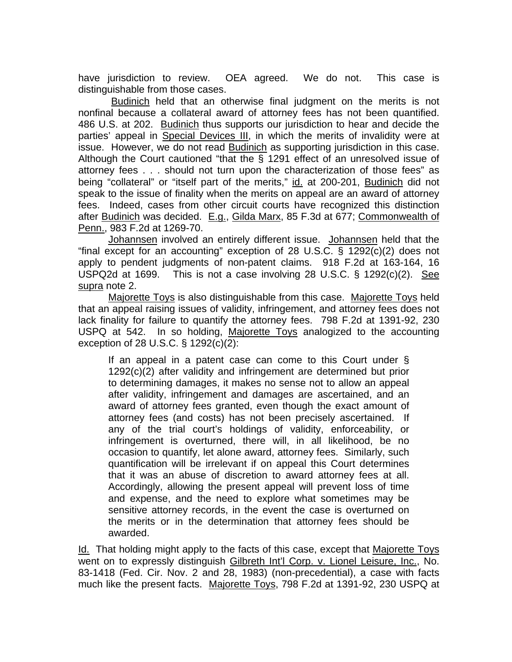have jurisdiction to review. OEA agreed. We do not. This case is distinguishable from those cases.

 Budinich held that an otherwise final judgment on the merits is not nonfinal because a collateral award of attorney fees has not been quantified. 486 U.S. at 202. Budinich thus supports our jurisdiction to hear and decide the parties' appeal in Special Devices III, in which the merits of invalidity were at issue. However, we do not read Budinich as supporting jurisdiction in this case. Although the Court cautioned "that the § 1291 effect of an unresolved issue of attorney fees . . . should not turn upon the characterization of those fees" as being "collateral" or "itself part of the merits," id. at 200-201, Budinich did not speak to the issue of finality when the merits on appeal are an award of attorney fees. Indeed, cases from other circuit courts have recognized this distinction after Budinich was decided. E.g., Gilda Marx, 85 F.3d at 677; Commonwealth of Penn., 983 F.2d at 1269-70.

Johannsen involved an entirely different issue. Johannsen held that the "final except for an accounting" exception of 28 U.S.C. § 1292(c)(2) does not apply to pendent judgments of non-patent claims. 918 F.2d at 163-164, 16 USPQ2d at 1699. This is not a case involving 28 U.S.C. § 1292(c)(2). See supra note 2.

Majorette Toys is also distinguishable from this case. Majorette Toys held that an appeal raising issues of validity, infringement, and attorney fees does not lack finality for failure to quantify the attorney fees. 798 F.2d at 1391-92, 230 USPQ at 542. In so holding, Majorette Toys analogized to the accounting exception of 28 U.S.C. § 1292(c)(2):

If an appeal in a patent case can come to this Court under  $\S$ 1292(c)(2) after validity and infringement are determined but prior to determining damages, it makes no sense not to allow an appeal after validity, infringement and damages are ascertained, and an award of attorney fees granted, even though the exact amount of attorney fees (and costs) has not been precisely ascertained. If any of the trial court's holdings of validity, enforceability, or infringement is overturned, there will, in all likelihood, be no occasion to quantify, let alone award, attorney fees. Similarly, such quantification will be irrelevant if on appeal this Court determines that it was an abuse of discretion to award attorney fees at all. Accordingly, allowing the present appeal will prevent loss of time and expense, and the need to explore what sometimes may be sensitive attorney records, in the event the case is overturned on the merits or in the determination that attorney fees should be awarded.

Id. That holding might apply to the facts of this case, except that Majorette Toys went on to expressly distinguish Gilbreth Int'l Corp. v. Lionel Leisure, Inc., No. 83-1418 (Fed. Cir. Nov. 2 and 28, 1983) (non-precedential), a case with facts much like the present facts. Majorette Toys, 798 F.2d at 1391-92, 230 USPQ at